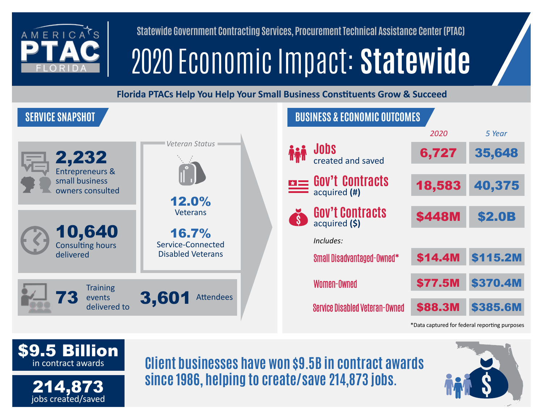

**Statewide Government Contracting Services, Procurement Technical Assistance Center (PTAC)**

# 2020 Economic Impact: **Statewide**

**Florida PTACs Help You Help Your Small Business Constituents Grow & Succeed**





**Client businesses have won \$9.5B in contract awards since 1986, helping to create/save 214,873 jobs.**